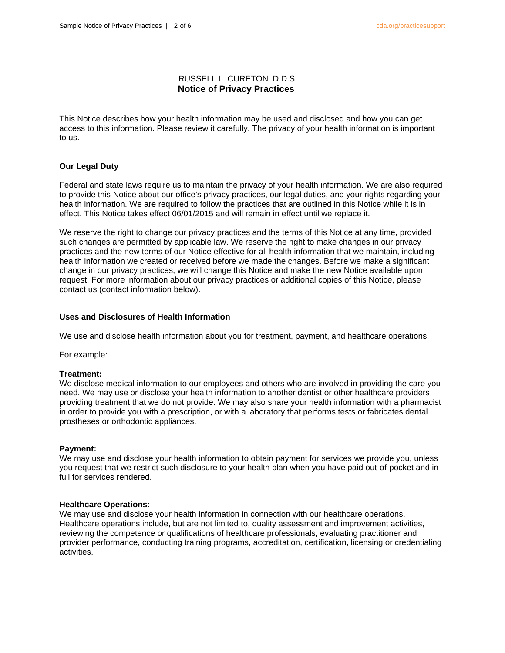## RUSSELL L. CURETON D.D.S.  **Notice of Privacy Practices**

This Notice describes how your health information may be used and disclosed and how you can get access to this information. Please review it carefully. The privacy of your health information is important to us.

## **Our Legal Duty**

Federal and state laws require us to maintain the privacy of your health information. We are also required to provide this Notice about our office's privacy practices, our legal duties, and your rights regarding your health information. We are required to follow the practices that are outlined in this Notice while it is in effect. This Notice takes effect 06/01/2015 and will remain in effect until we replace it.

We reserve the right to change our privacy practices and the terms of this Notice at any time, provided such changes are permitted by applicable law. We reserve the right to make changes in our privacy practices and the new terms of our Notice effective for all health information that we maintain, including health information we created or received before we made the changes. Before we make a significant change in our privacy practices, we will change this Notice and make the new Notice available upon request. For more information about our privacy practices or additional copies of this Notice, please contact us (contact information below).

## **Uses and Disclosures of Health Information**

We use and disclose health information about you for treatment, payment, and healthcare operations.

For example:

## **Treatment:**

We disclose medical information to our employees and others who are involved in providing the care you need. We may use or disclose your health information to another dentist or other healthcare providers providing treatment that we do not provide. We may also share your health information with a pharmacist in order to provide you with a prescription, or with a laboratory that performs tests or fabricates dental prostheses or orthodontic appliances.

## **Payment:**

We may use and disclose your health information to obtain payment for services we provide you, unless you request that we restrict such disclosure to your health plan when you have paid out-of-pocket and in full for services rendered.

## **Healthcare Operations:**

We may use and disclose your health information in connection with our healthcare operations. Healthcare operations include, but are not limited to, quality assessment and improvement activities, reviewing the competence or qualifications of healthcare professionals, evaluating practitioner and provider performance, conducting training programs, accreditation, certification, licensing or credentialing activities.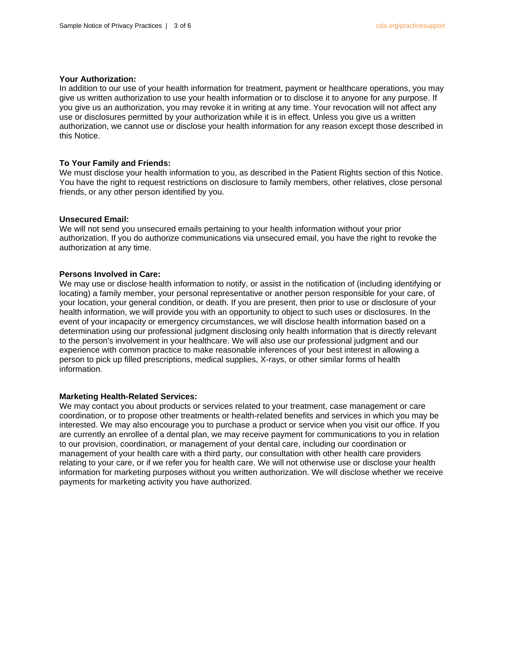## **Your Authorization:**

In addition to our use of your health information for treatment, payment or healthcare operations, you may give us written authorization to use your health information or to disclose it to anyone for any purpose. If you give us an authorization, you may revoke it in writing at any time. Your revocation will not affect any use or disclosures permitted by your authorization while it is in effect. Unless you give us a written authorization, we cannot use or disclose your health information for any reason except those described in this Notice.

## **To Your Family and Friends:**

We must disclose your health information to you, as described in the Patient Rights section of this Notice. You have the right to request restrictions on disclosure to family members, other relatives, close personal friends, or any other person identified by you.

#### **Unsecured Email:**

We will not send you unsecured emails pertaining to your health information without your prior authorization. If you do authorize communications via unsecured email, you have the right to revoke the authorization at any time.

#### **Persons Involved in Care:**

We may use or disclose health information to notify, or assist in the notification of (including identifying or locating) a family member, your personal representative or another person responsible for your care, of your location, your general condition, or death. If you are present, then prior to use or disclosure of your health information, we will provide you with an opportunity to object to such uses or disclosures. In the event of your incapacity or emergency circumstances, we will disclose health information based on a determination using our professional judgment disclosing only health information that is directly relevant to the person's involvement in your healthcare. We will also use our professional judgment and our experience with common practice to make reasonable inferences of your best interest in allowing a person to pick up filled prescriptions, medical supplies, X-rays, or other similar forms of health information.

#### **Marketing Health-Related Services:**

We may contact you about products or services related to your treatment, case management or care coordination, or to propose other treatments or health-related benefits and services in which you may be interested. We may also encourage you to purchase a product or service when you visit our office. If you are currently an enrollee of a dental plan, we may receive payment for communications to you in relation to our provision, coordination, or management of your dental care, including our coordination or management of your health care with a third party, our consultation with other health care providers relating to your care, or if we refer you for health care. We will not otherwise use or disclose your health information for marketing purposes without you written authorization. We will disclose whether we receive payments for marketing activity you have authorized.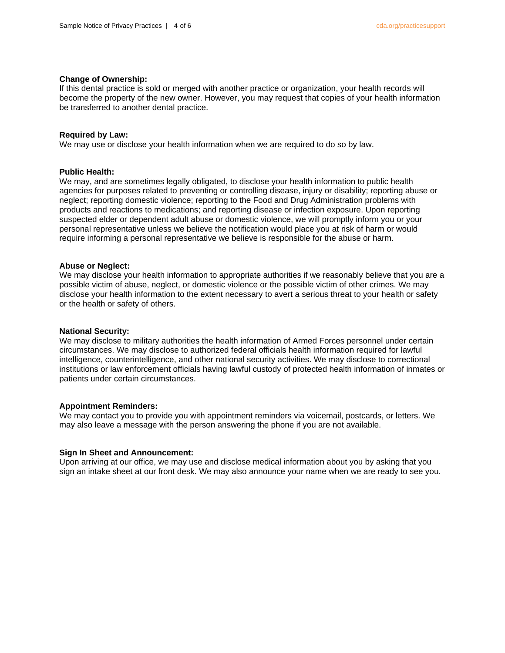## **Change of Ownership:**

If this dental practice is sold or merged with another practice or organization, your health records will become the property of the new owner. However, you may request that copies of your health information be transferred to another dental practice.

## **Required by Law:**

We may use or disclose your health information when we are required to do so by law.

## **Public Health:**

We may, and are sometimes legally obligated, to disclose your health information to public health agencies for purposes related to preventing or controlling disease, injury or disability; reporting abuse or neglect; reporting domestic violence; reporting to the Food and Drug Administration problems with products and reactions to medications; and reporting disease or infection exposure. Upon reporting suspected elder or dependent adult abuse or domestic violence, we will promptly inform you or your personal representative unless we believe the notification would place you at risk of harm or would require informing a personal representative we believe is responsible for the abuse or harm.

#### **Abuse or Neglect:**

We may disclose your health information to appropriate authorities if we reasonably believe that you are a possible victim of abuse, neglect, or domestic violence or the possible victim of other crimes. We may disclose your health information to the extent necessary to avert a serious threat to your health or safety or the health or safety of others.

#### **National Security:**

We may disclose to military authorities the health information of Armed Forces personnel under certain circumstances. We may disclose to authorized federal officials health information required for lawful intelligence, counterintelligence, and other national security activities. We may disclose to correctional institutions or law enforcement officials having lawful custody of protected health information of inmates or patients under certain circumstances.

## **Appointment Reminders:**

We may contact you to provide you with appointment reminders via voicemail, postcards, or letters. We may also leave a message with the person answering the phone if you are not available.

#### **Sign In Sheet and Announcement:**

Upon arriving at our office, we may use and disclose medical information about you by asking that you sign an intake sheet at our front desk. We may also announce your name when we are ready to see you.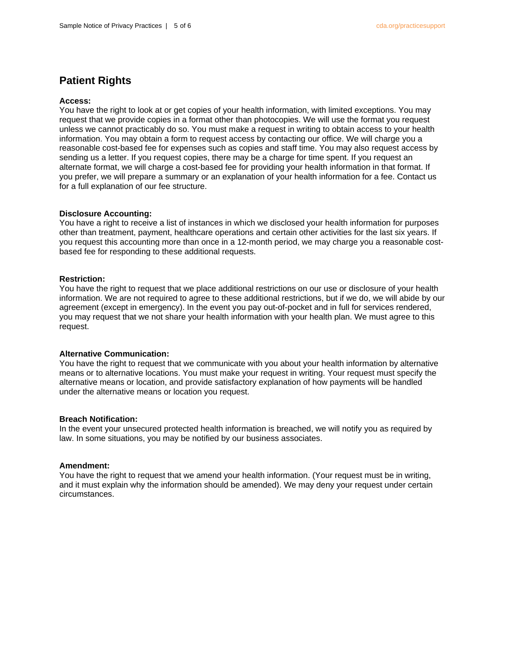## **Patient Rights**

## **Access:**

You have the right to look at or get copies of your health information, with limited exceptions. You may request that we provide copies in a format other than photocopies. We will use the format you request unless we cannot practicably do so. You must make a request in writing to obtain access to your health information. You may obtain a form to request access by contacting our office. We will charge you a reasonable cost-based fee for expenses such as copies and staff time. You may also request access by sending us a letter. If you request copies, there may be a charge for time spent. If you request an alternate format, we will charge a cost-based fee for providing your health information in that format. If you prefer, we will prepare a summary or an explanation of your health information for a fee. Contact us for a full explanation of our fee structure.

## **Disclosure Accounting:**

You have a right to receive a list of instances in which we disclosed your health information for purposes other than treatment, payment, healthcare operations and certain other activities for the last six years. If you request this accounting more than once in a 12-month period, we may charge you a reasonable costbased fee for responding to these additional requests.

## **Restriction:**

You have the right to request that we place additional restrictions on our use or disclosure of your health information. We are not required to agree to these additional restrictions, but if we do, we will abide by our agreement (except in emergency). In the event you pay out-of-pocket and in full for services rendered, you may request that we not share your health information with your health plan. We must agree to this request.

## **Alternative Communication:**

You have the right to request that we communicate with you about your health information by alternative means or to alternative locations. You must make your request in writing. Your request must specify the alternative means or location, and provide satisfactory explanation of how payments will be handled under the alternative means or location you request.

## **Breach Notification:**

In the event your unsecured protected health information is breached, we will notify you as required by law. In some situations, you may be notified by our business associates.

## **Amendment:**

You have the right to request that we amend your health information. (Your request must be in writing, and it must explain why the information should be amended). We may deny your request under certain circumstances.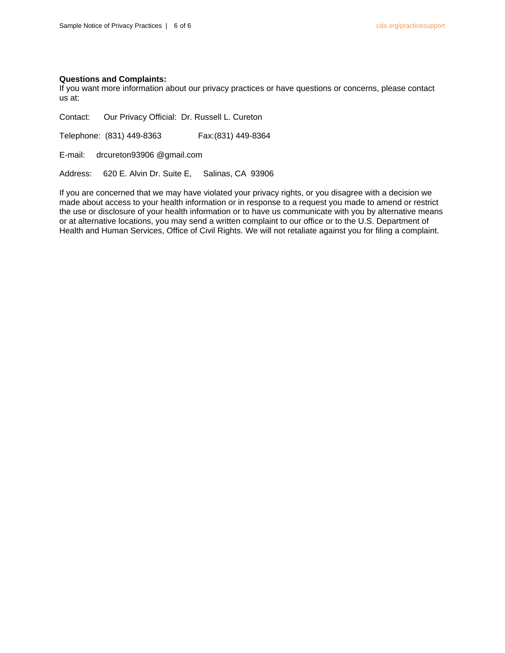## **Questions and Complaints:**

If you want more information about our privacy practices or have questions or concerns, please contact us at:

Contact: Our Privacy Official: Dr. Russell L. Cureton

Telephone: (831) 449-8363 Fax:(831) 449-8364

E-mail: drcureton93906 @gmail.com

Address: 620 E. Alvin Dr. Suite E, Salinas, CA 93906

If you are concerned that we may have violated your privacy rights, or you disagree with a decision we made about access to your health information or in response to a request you made to amend or restrict the use or disclosure of your health information or to have us communicate with you by alternative means or at alternative locations, you may send a written complaint to our office or to the U.S. Department of Health and Human Services, Office of Civil Rights. We will not retaliate against you for filing a complaint.